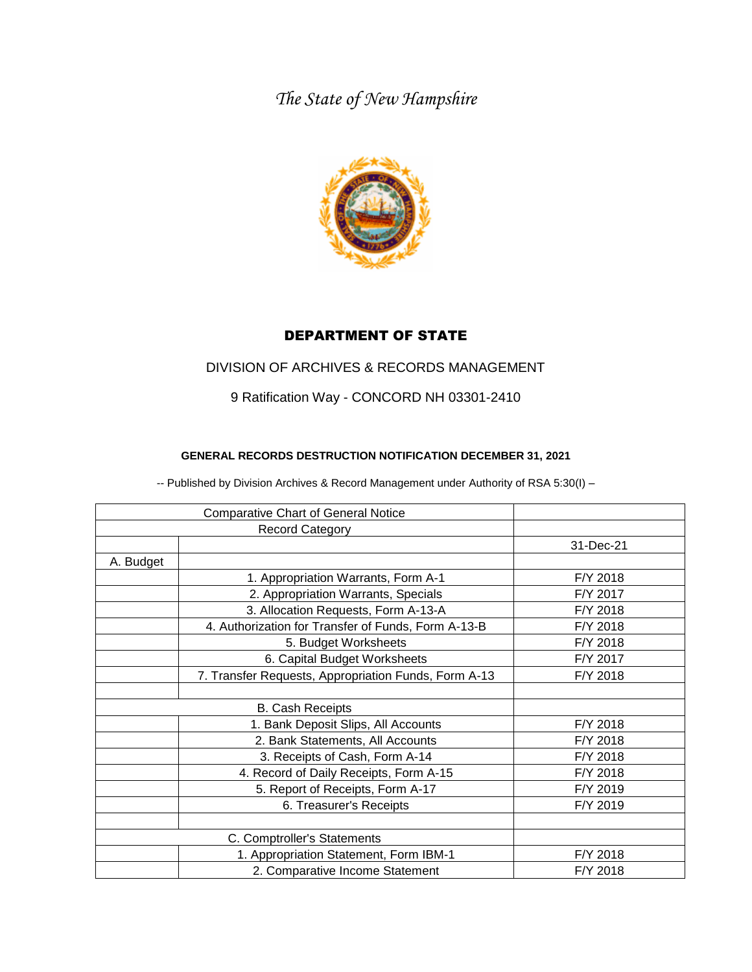*The State of New Hampshire*



## DEPARTMENT OF STATE

## DIVISION OF ARCHIVES & RECORDS MANAGEMENT

9 Ratification Way - CONCORD NH 03301-2410

## **GENERAL RECORDS DESTRUCTION NOTIFICATION DECEMBER 31, 2021**

-- Published by Division Archives & Record Management under Authority of RSA 5:30(I) –

| <b>Comparative Chart of General Notice</b> |                                                      |           |
|--------------------------------------------|------------------------------------------------------|-----------|
|                                            | <b>Record Category</b>                               |           |
|                                            |                                                      | 31-Dec-21 |
| A. Budget                                  |                                                      |           |
|                                            | 1. Appropriation Warrants, Form A-1                  | F/Y 2018  |
|                                            | 2. Appropriation Warrants, Specials                  | F/Y 2017  |
|                                            | 3. Allocation Requests, Form A-13-A                  | F/Y 2018  |
|                                            | 4. Authorization for Transfer of Funds, Form A-13-B  | F/Y 2018  |
|                                            | 5. Budget Worksheets                                 | F/Y 2018  |
|                                            | 6. Capital Budget Worksheets                         | F/Y 2017  |
|                                            | 7. Transfer Requests, Appropriation Funds, Form A-13 | F/Y 2018  |
|                                            |                                                      |           |
| <b>B. Cash Receipts</b>                    |                                                      |           |
|                                            | 1. Bank Deposit Slips, All Accounts                  | F/Y 2018  |
|                                            | 2. Bank Statements, All Accounts                     | F/Y 2018  |
|                                            | 3. Receipts of Cash, Form A-14                       | F/Y 2018  |
|                                            | 4. Record of Daily Receipts, Form A-15               | F/Y 2018  |
|                                            | 5. Report of Receipts, Form A-17                     | F/Y 2019  |
|                                            | 6. Treasurer's Receipts                              | F/Y 2019  |
|                                            |                                                      |           |
| C. Comptroller's Statements                |                                                      |           |
|                                            | 1. Appropriation Statement, Form IBM-1               | F/Y 2018  |
|                                            | 2. Comparative Income Statement                      | F/Y 2018  |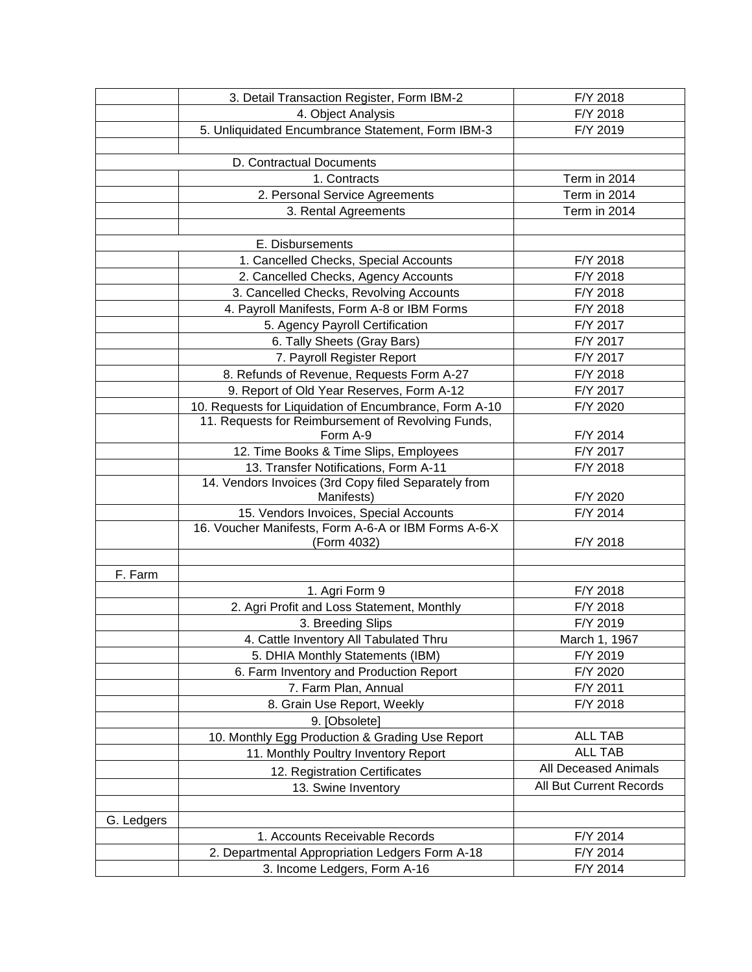|            | 3. Detail Transaction Register, Form IBM-2             | F/Y 2018                |
|------------|--------------------------------------------------------|-------------------------|
|            | 4. Object Analysis                                     | F/Y 2018                |
|            | 5. Unliquidated Encumbrance Statement, Form IBM-3      | F/Y 2019                |
|            |                                                        |                         |
|            | D. Contractual Documents                               |                         |
|            | 1. Contracts                                           | Term in 2014            |
|            | 2. Personal Service Agreements                         | Term in 2014            |
|            | 3. Rental Agreements                                   | Term in 2014            |
|            |                                                        |                         |
|            | E. Disbursements                                       |                         |
|            | 1. Cancelled Checks, Special Accounts                  | F/Y 2018                |
|            | 2. Cancelled Checks, Agency Accounts                   | F/Y 2018                |
|            | 3. Cancelled Checks, Revolving Accounts                | F/Y 2018                |
|            | 4. Payroll Manifests, Form A-8 or IBM Forms            | F/Y 2018                |
|            | 5. Agency Payroll Certification                        | F/Y 2017                |
|            | 6. Tally Sheets (Gray Bars)                            | F/Y 2017                |
|            | 7. Payroll Register Report                             | F/Y 2017                |
|            | 8. Refunds of Revenue, Requests Form A-27              | F/Y 2018                |
|            | 9. Report of Old Year Reserves, Form A-12              | F/Y 2017                |
|            | 10. Requests for Liquidation of Encumbrance, Form A-10 | F/Y 2020                |
|            | 11. Requests for Reimbursement of Revolving Funds,     |                         |
|            | Form A-9                                               | F/Y 2014                |
|            | 12. Time Books & Time Slips, Employees                 | F/Y 2017                |
|            | 13. Transfer Notifications, Form A-11                  | F/Y 2018                |
|            | 14. Vendors Invoices (3rd Copy filed Separately from   |                         |
|            | Manifests)                                             | F/Y 2020                |
|            | 15. Vendors Invoices, Special Accounts                 | F/Y 2014                |
|            | 16. Voucher Manifests, Form A-6-A or IBM Forms A-6-X   |                         |
|            | (Form 4032)                                            | F/Y 2018                |
|            |                                                        |                         |
| F. Farm    |                                                        |                         |
|            | 1. Agri Form 9                                         | F/Y 2018                |
|            | 2. Agri Profit and Loss Statement, Monthly             | F/Y 2018                |
|            | 3. Breeding Slips                                      | F/Y 2019                |
|            | 4. Cattle Inventory All Tabulated Thru                 | March 1, 1967           |
|            | 5. DHIA Monthly Statements (IBM)                       | F/Y 2019                |
|            | 6. Farm Inventory and Production Report                | F/Y 2020                |
|            | 7. Farm Plan, Annual                                   | F/Y 2011                |
|            | 8. Grain Use Report, Weekly                            | F/Y 2018                |
|            | 9. [Obsolete]                                          |                         |
|            | 10. Monthly Egg Production & Grading Use Report        | <b>ALL TAB</b>          |
|            | 11. Monthly Poultry Inventory Report                   | <b>ALL TAB</b>          |
|            | 12. Registration Certificates                          | All Deceased Animals    |
|            | 13. Swine Inventory                                    | All But Current Records |
|            |                                                        |                         |
| G. Ledgers |                                                        |                         |
|            | 1. Accounts Receivable Records                         | F/Y 2014                |
|            | 2. Departmental Appropriation Ledgers Form A-18        | F/Y 2014                |
|            | 3. Income Ledgers, Form A-16                           | F/Y 2014                |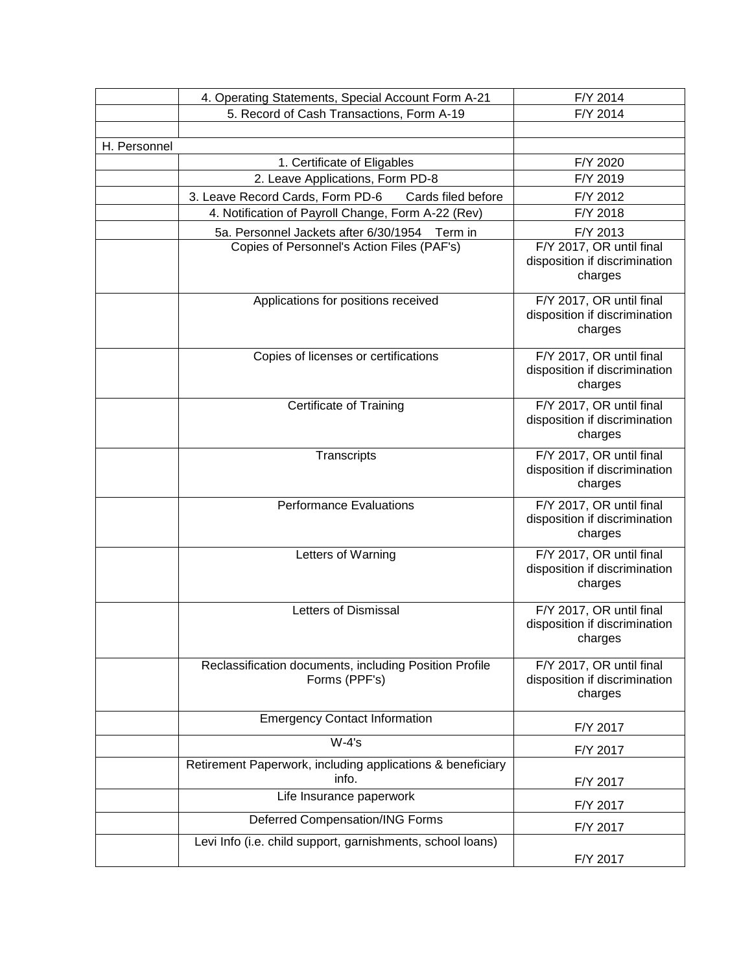|              | 4. Operating Statements, Special Account Form A-21                      | F/Y 2014                                                             |
|--------------|-------------------------------------------------------------------------|----------------------------------------------------------------------|
|              | 5. Record of Cash Transactions, Form A-19                               | F/Y 2014                                                             |
|              |                                                                         |                                                                      |
| H. Personnel |                                                                         |                                                                      |
|              | 1. Certificate of Eligables                                             | F/Y 2020                                                             |
|              | 2. Leave Applications, Form PD-8                                        | F/Y 2019                                                             |
|              | 3. Leave Record Cards, Form PD-6<br>Cards filed before                  | F/Y 2012                                                             |
|              | 4. Notification of Payroll Change, Form A-22 (Rev)                      | F/Y 2018                                                             |
|              | 5a. Personnel Jackets after 6/30/1954 Term in                           | F/Y 2013                                                             |
|              | Copies of Personnel's Action Files (PAF's)                              | F/Y 2017, OR until final<br>disposition if discrimination<br>charges |
|              | Applications for positions received                                     | F/Y 2017, OR until final<br>disposition if discrimination<br>charges |
|              | Copies of licenses or certifications                                    | F/Y 2017, OR until final<br>disposition if discrimination<br>charges |
|              | <b>Certificate of Training</b>                                          | F/Y 2017, OR until final<br>disposition if discrimination<br>charges |
|              | Transcripts                                                             | F/Y 2017, OR until final<br>disposition if discrimination<br>charges |
|              | <b>Performance Evaluations</b>                                          | F/Y 2017, OR until final<br>disposition if discrimination<br>charges |
|              | Letters of Warning                                                      | F/Y 2017, OR until final<br>disposition if discrimination<br>charges |
|              | Letters of Dismissal                                                    | F/Y 2017, OR until final<br>disposition if discrimination<br>charges |
|              | Reclassification documents, including Position Profile<br>Forms (PPF's) | F/Y 2017, OR until final<br>disposition if discrimination<br>charges |
|              | <b>Emergency Contact Information</b>                                    | F/Y 2017                                                             |
|              | $W-4's$                                                                 | F/Y 2017                                                             |
|              | Retirement Paperwork, including applications & beneficiary<br>info.     | F/Y 2017                                                             |
|              | Life Insurance paperwork                                                | F/Y 2017                                                             |
|              | Deferred Compensation/ING Forms                                         | F/Y 2017                                                             |
|              | Levi Info (i.e. child support, garnishments, school loans)              | F/Y 2017                                                             |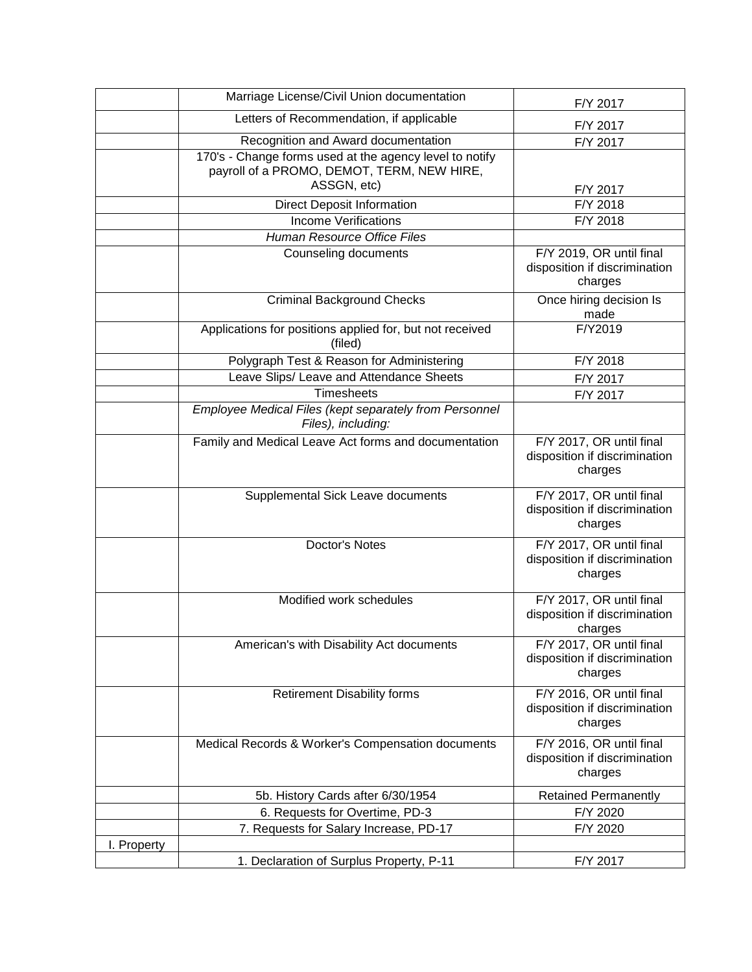|             | Marriage License/Civil Union documentation                                                                           | F/Y 2017                                                             |
|-------------|----------------------------------------------------------------------------------------------------------------------|----------------------------------------------------------------------|
|             | Letters of Recommendation, if applicable                                                                             | F/Y 2017                                                             |
|             | Recognition and Award documentation                                                                                  | F/Y 2017                                                             |
|             | 170's - Change forms used at the agency level to notify<br>payroll of a PROMO, DEMOT, TERM, NEW HIRE,<br>ASSGN, etc) | F/Y 2017                                                             |
|             | <b>Direct Deposit Information</b>                                                                                    | F/Y 2018                                                             |
|             | <b>Income Verifications</b>                                                                                          | F/Y 2018                                                             |
|             | <b>Human Resource Office Files</b>                                                                                   |                                                                      |
|             | Counseling documents                                                                                                 | F/Y 2019, OR until final<br>disposition if discrimination<br>charges |
|             | <b>Criminal Background Checks</b>                                                                                    | Once hiring decision Is<br>made                                      |
|             | Applications for positions applied for, but not received<br>(filed)                                                  | F/Y2019                                                              |
|             | Polygraph Test & Reason for Administering                                                                            | F/Y 2018                                                             |
|             | Leave Slips/ Leave and Attendance Sheets                                                                             | F/Y 2017                                                             |
|             | <b>Timesheets</b>                                                                                                    | F/Y 2017                                                             |
|             | Employee Medical Files (kept separately from Personnel<br>Files), including:                                         |                                                                      |
|             | Family and Medical Leave Act forms and documentation                                                                 | F/Y 2017, OR until final<br>disposition if discrimination<br>charges |
|             | Supplemental Sick Leave documents                                                                                    | F/Y 2017, OR until final<br>disposition if discrimination<br>charges |
|             | Doctor's Notes                                                                                                       | F/Y 2017, OR until final<br>disposition if discrimination<br>charges |
|             | Modified work schedules                                                                                              | F/Y 2017, OR until final<br>disposition if discrimination<br>charges |
|             | American's with Disability Act documents                                                                             | F/Y 2017, OR until final<br>disposition if discrimination<br>charges |
|             | <b>Retirement Disability forms</b>                                                                                   | F/Y 2016, OR until final<br>disposition if discrimination<br>charges |
|             | Medical Records & Worker's Compensation documents                                                                    | F/Y 2016, OR until final<br>disposition if discrimination<br>charges |
|             | 5b. History Cards after 6/30/1954                                                                                    | <b>Retained Permanently</b>                                          |
|             | 6. Requests for Overtime, PD-3                                                                                       | F/Y 2020                                                             |
|             | 7. Requests for Salary Increase, PD-17                                                                               | F/Y 2020                                                             |
| I. Property |                                                                                                                      |                                                                      |
|             | 1. Declaration of Surplus Property, P-11                                                                             | F/Y 2017                                                             |